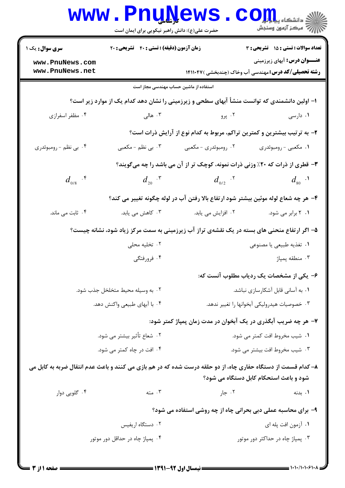|                                                                                                                                                         | <b>www.PnuNews</b><br>حضرت علی(ع): دانش راهبر نیکویی برای ایمان است                |                                                                          | ح<br>د انشکاه پ <b>یا ب<sup>ا</sup> با بار</b><br>/ مرکز آزمون وسنجش                               |  |  |  |
|---------------------------------------------------------------------------------------------------------------------------------------------------------|------------------------------------------------------------------------------------|--------------------------------------------------------------------------|----------------------------------------------------------------------------------------------------|--|--|--|
| <b>سری سوال :</b> یک ۱                                                                                                                                  | زمان آزمون (دقیقه) : تستی : ۴۰٪ تشریحی : ۲۰                                        |                                                                          | <b>تعداد سوالات : تستی : 15 - تشریحی : 3</b>                                                       |  |  |  |
| www.PnuNews.com<br>www.PnuNews.net                                                                                                                      |                                                                                    |                                                                          | <b>عنـــوان درس:</b> آبهای زیرزمینی<br><b>رشته تحصیلی/کد درس:</b> مهندسی آب وخاک (چندبخشی )۱۴۱۱۰۴۷ |  |  |  |
| استفاده از ماشین حساب مهندسی مجاز است                                                                                                                   |                                                                                    |                                                                          |                                                                                                    |  |  |  |
| ۱– اولین دانشمندی که توانست منشأ آبهای سطحی و زیرزمینی را نشان دهد کدام یک از موارد زیر است؟                                                            |                                                                                    |                                                                          |                                                                                                    |  |  |  |
| ۰۴ مظفر اسفرازی                                                                                                                                         | ۰۳ هالی $\cdot$                                                                    | ۰۲ پرو                                                                   | ۰۱ دارسی                                                                                           |  |  |  |
|                                                                                                                                                         |                                                                                    | ۲- به ترتیب بیشترین و کمترین تراکم، مربوط به کدام نوع از آرایش ذرات است؟ |                                                                                                    |  |  |  |
| ۰۴ بي نظم - رومبوئدري                                                                                                                                   | ۰۳ بی نظم - مکعبی                                                                  | ۰۲ رومبوئدري - مکعبي                                                     | ۰۱ مکعبی - رومبوئدری                                                                               |  |  |  |
| ۳- قطری از ذرات که ۲۰٪ وزنی ذرات نمونه، کوچک تر از آن می باشد را چه میگویند؟                                                                            |                                                                                    |                                                                          |                                                                                                    |  |  |  |
| $d_{0/8}$ . $\mathfrak{k}$                                                                                                                              | $d_{_{20}}$ . $\mathsf{r}$                                                         | $d_{_{0/2}}$ . $5^{\circ}$                                               | $d_{\rm so}$ .                                                                                     |  |  |  |
|                                                                                                                                                         | ۴– هر چه شعاع لوله موئین بیشتر شود ارتفاع بالا رفتن آب در لوله چگونه تغییر می کند؟ |                                                                          |                                                                                                    |  |  |  |
| ۰۴ ثابت می ماند.                                                                                                                                        | ۰۳ کاهش می یابد.                                                                   | ۰۲ افزایش می یابد.                                                       | ۰۱ ۲ برابر می شود.                                                                                 |  |  |  |
|                                                                                                                                                         |                                                                                    |                                                                          | ۵– اگر ارتفاع منحنی های بسته در یک نقشهی تراز آب زیرزمینی به سمت مرکز زیاد شود، نشانه چیست؟        |  |  |  |
| ۰۲ تخلیه محلی                                                                                                                                           |                                                                                    | ۰۱ تغذیه طبیعی یا مصنوعی                                                 |                                                                                                    |  |  |  |
|                                                                                                                                                         | ۰۴ فرورفتگی                                                                        | ۰۳ منطقه پمپاژ                                                           |                                                                                                    |  |  |  |
| ۶– یکی از مشخصات یک ردیاب مطلوب آنست که:                                                                                                                |                                                                                    |                                                                          |                                                                                                    |  |  |  |
|                                                                                                                                                         | ۰۲ به وسیله محیط متخلخل جذب شود.                                                   | ۰۱ به آسانی قابل آشکارسازی نباشد.                                        |                                                                                                    |  |  |  |
|                                                                                                                                                         | ۰۴ با آبهای طبیعی واکنش دهد.                                                       | ۰۳ خصوصیات هیدرولیکی آبخوانها را تغییر ندهد.                             |                                                                                                    |  |  |  |
|                                                                                                                                                         |                                                                                    |                                                                          | ۷– هر چه ضریب آبگذری در یک آبخوان در مدت زمان پمپاژ کمتر شود:                                      |  |  |  |
| ۰۲ شعاع تأثیر بیشتر می شود.                                                                                                                             |                                                                                    | ۰۱ شیب مخروط افت کمتر می شود.                                            |                                                                                                    |  |  |  |
| ۰۴ افت در چاه کمتر می شود.                                                                                                                              |                                                                                    | ۰۳ شیب مخروط افت بیشتر می شود.                                           |                                                                                                    |  |  |  |
| ۸– کدام قسمت از دستگاه حفاری چاه، از دو حلقه درست شده که در هم بازی می کنند و باعث عدم انتقال ضربه به کابل می<br>شود و باعث استحکام کابل دستگاه می شود؟ |                                                                                    |                                                                          |                                                                                                    |  |  |  |
| ۰۴ گلويي دوار                                                                                                                                           | ۰۳ مته                                                                             | ۰۲ جار                                                                   | ۰۱ بدنه                                                                                            |  |  |  |
|                                                                                                                                                         |                                                                                    | ۹- برای محاسبه عملی دبی بحرانی چاه از چه روشی استفاده می شود؟            |                                                                                                    |  |  |  |
| ۰۲ دستگاه اریفیس                                                                                                                                        |                                                                                    | ۰۱ آزمون افت پله ای                                                      |                                                                                                    |  |  |  |
| ۰۴ پمپاژ چاه در حداقل دور موتور                                                                                                                         |                                                                                    |                                                                          | ۰۳ پمپاژ چاه در حداکثر دور موتور                                                                   |  |  |  |
|                                                                                                                                                         |                                                                                    |                                                                          |                                                                                                    |  |  |  |

 $1 - 1 - 1 - 1 - 9$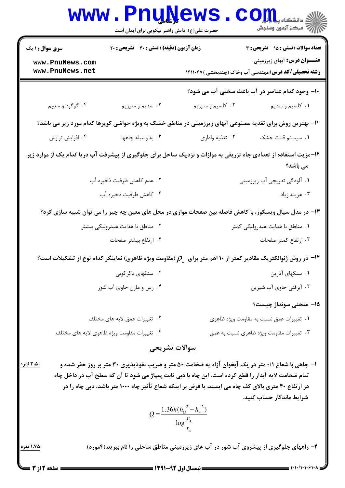| <b>WWW</b>                         | <b>TT GATA</b><br>حضرت علی(ع): دانش راهبر نیکویی برای ایمان است                                                                                                                                             |                                                       | د دانشکاه پیا با بار<br>ر<br>أأآت مرکز آزمون وسنجش                                                                             |
|------------------------------------|-------------------------------------------------------------------------------------------------------------------------------------------------------------------------------------------------------------|-------------------------------------------------------|--------------------------------------------------------------------------------------------------------------------------------|
| <b>سری سوال : ۱ یک</b>             | زمان آزمون (دقیقه) : تستی : ۴۰٪ تشریحی : ۲۰                                                                                                                                                                 |                                                       | تعداد سوالات : تستي : 15 تشريحي : 3                                                                                            |
| www.PnuNews.com<br>www.PnuNews.net |                                                                                                                                                                                                             |                                                       | <b>عنـــوان درس:</b> آبهای زیرزمینی<br><b>رشته تحصیلی/کد درس:</b> مهندسی آب وخاک (چندبخشی )۱۴۱۱۰۴۷                             |
|                                    |                                                                                                                                                                                                             |                                                       | ۱۰– وجود کدام عناصر در آب باعث سختی آب می شود؟                                                                                 |
| ۰۴ گوگرد و سدیم                    | ۰۳ سديم و منيزيم                                                                                                                                                                                            | ۰۲ کلسیم و منیزیم                                     | ۰۱ کلسیم و سدیم                                                                                                                |
|                                    |                                                                                                                                                                                                             |                                                       | 11- بهترین روش برای تغذیه مصنوعی آبهای زیرزمینی در مناطق خشک به ویژه حواشی کویرها کدام مورد زیر می باشد؟                       |
| ۰۴ افزایش تراوش                    | ۰۳ به وسیله چاهها                                                                                                                                                                                           | ۰۲ تغذیه واداری                                       | ۰۱ سیستم قنات خشک                                                                                                              |
|                                    |                                                                                                                                                                                                             |                                                       | ۱۲-مزیت استفاده از تعدادی چاه تزریقی به موازات و نزدیک ساحل برای جلوگیری از پیشرفت آب دریا کدام یک از موارد زیر<br>می باشد؟    |
|                                    | ۰۲ عدم کاهش ظرفیت ذخیره آب                                                                                                                                                                                  |                                                       | ۰۱ آلودگی تدریجی آب زیرزمینی                                                                                                   |
| ۰۴ كاهش ظرفيت ذخيره آب             |                                                                                                                                                                                                             |                                                       | ۰۳ هزینه زیاد                                                                                                                  |
|                                    |                                                                                                                                                                                                             |                                                       | ۱۳- در مدل سیال ویسکوز، با کاهش فاصله بین صفحات موازی در محل های معین چه چیز را می توان شبیه سازی کرد؟                         |
| ۰۲ مناطق با هدایت هیدرولیکی بیشتر  |                                                                                                                                                                                                             | ۰۱ مناطق با هدایت هیدرولیکی کمتر                      |                                                                                                                                |
| ۰۴ ارتفاع بيشتر صفحات              |                                                                                                                                                                                                             | ۰۳ ارتفاع کمتر صفحات                                  |                                                                                                                                |
|                                    |                                                                                                                                                                                                             |                                                       | در روش ژئوالکتریک مقادیر کمتر از ۱۰ اهم متر برای $\rho_{_a}$ (مقاومت ویژه ظاهری) نماینگر کدام نوع از تشکیلات است؟ $\,$         |
| ۰۲ سنگهای دگرگونی                  |                                                                                                                                                                                                             | ۰۱ سنگهای آذرین                                       |                                                                                                                                |
|                                    | ۰۴ رس و مارن حاوی آب شور                                                                                                                                                                                    |                                                       | ۰۳ آبرفتی حاوی آب شیرین                                                                                                        |
|                                    |                                                                                                                                                                                                             |                                                       | 1۵− منحني سونداژ چيست؟                                                                                                         |
|                                    | ۰۲ تغییرات عمق لایه های مختلف                                                                                                                                                                               |                                                       | ۰۱ تغییرات عمق نسبت به مقاومت ویژه ظاهری                                                                                       |
|                                    | ۰۴ تغییرات مقاومت ویژه ظاهری لایه های مختلف                                                                                                                                                                 |                                                       | ۰۳ تغییرات مقاومت ویژه ظاهری نسبت به عمق                                                                                       |
|                                    | سوالات تشريحي                                                                                                                                                                                               |                                                       |                                                                                                                                |
| ۳،۵۰ نمره                          | تمام ضخامت لایه آبدار را قطع کرده است. این چاه با دبی ثابت پمپاژ می شود تا آن که سطح آب در داخل چاه<br>در ارتفاع ۴۰ متری بالای کف چاه می ایستد. با فرض بر اینکه شعاع تأثیر چاه ۱۰۰۰ متر باشد، دبی چاه را در |                                                       | ا- چاهی با شعاع ۰/۱ متر در یک آبخوان آزاد به ضخامت ۵۰ متر و ضریب نفوذپذیری ۳۰ متر بر روز حفر شده و<br>شرایط ماندگار حساب کنید. |
|                                    |                                                                                                                                                                                                             | $Q = \frac{1.36k(h_o^2 - h_w^2)}{\log \frac{r_0}{r}}$ |                                                                                                                                |
| <u>۱،۷۵ نمره</u>                   |                                                                                                                                                                                                             |                                                       | ۲- راههای جلوگیری از پیشروی آب شور در آب های زیرزمینی مناطق ساحلی را نام ببرید.(۴مورد)                                         |

 $\mathbf{M} = \mathbf{M} \cdot \mathbf{M}$ 

Т

**The Contract Contract**